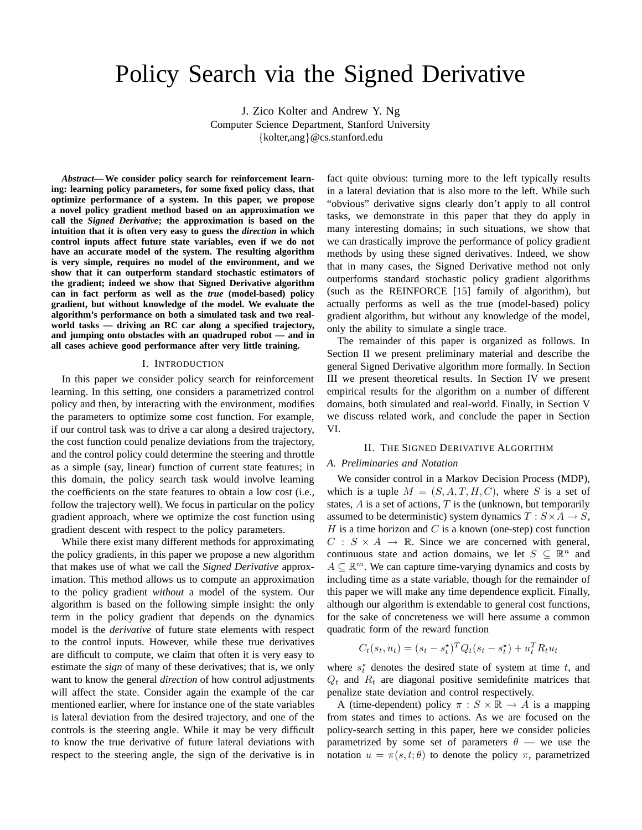# Policy Search via the Signed Derivative

J. Zico Kolter and Andrew Y. Ng Computer Science Department, Stanford University {kolter,ang}@cs.stanford.edu

*Abstract***— We consider policy search for reinforcement learning: learning policy parameters, for some fixed policy class, that optimize performance of a system. In this paper, we propose a novel policy gradient method based on an approximation we call the** *Signed Derivative***; the approximation is based on the intuition that it is often very easy to guess the** *direction* **in which control inputs affect future state variables, even if we do not have an accurate model of the system. The resulting algorithm is very simple, requires no model of the environment, and we show that it can outperform standard stochastic estimators of the gradient; indeed we show that Signed Derivative algorithm can in fact perform as well as the** *true* **(model-based) policy gradient, but without knowledge of the model. We evaluate the algorithm's performance on both a simulated task and two realworld tasks — driving an RC car along a specified trajectory, and jumping onto obstacles with an quadruped robot — and in all cases achieve good performance after very little training.**

#### I. INTRODUCTION

In this paper we consider policy search for reinforcement learning. In this setting, one considers a parametrized control policy and then, by interacting with the environment, modifies the parameters to optimize some cost function. For example, if our control task was to drive a car along a desired trajectory, the cost function could penalize deviations from the trajectory, and the control policy could determine the steering and throttle as a simple (say, linear) function of current state features; in this domain, the policy search task would involve learning the coefficients on the state features to obtain a low cost (i.e., follow the trajectory well). We focus in particular on the policy gradient approach, where we optimize the cost function using gradient descent with respect to the policy parameters.

While there exist many different methods for approximating the policy gradients, in this paper we propose a new algorithm that makes use of what we call the *Signed Derivative* approximation. This method allows us to compute an approximation to the policy gradient *without* a model of the system. Our algorithm is based on the following simple insight: the only term in the policy gradient that depends on the dynamics model is the *derivative* of future state elements with respect to the control inputs. However, while these true derivatives are difficult to compute, we claim that often it is very easy to estimate the *sign* of many of these derivatives; that is, we only want to know the general *direction* of how control adjustments will affect the state. Consider again the example of the car mentioned earlier, where for instance one of the state variables is lateral deviation from the desired trajectory, and one of the controls is the steering angle. While it may be very difficult to know the true derivative of future lateral deviations with respect to the steering angle, the sign of the derivative is in fact quite obvious: turning more to the left typically results in a lateral deviation that is also more to the left. While such "obvious" derivative signs clearly don't apply to all control tasks, we demonstrate in this paper that they do apply in many interesting domains; in such situations, we show that we can drastically improve the performance of policy gradient methods by using these signed derivatives. Indeed, we show that in many cases, the Signed Derivative method not only outperforms standard stochastic policy gradient algorithms (such as the REINFORCE [15] family of algorithm), but actually performs as well as the true (model-based) policy gradient algorithm, but without any knowledge of the model, only the ability to simulate a single trace.

The remainder of this paper is organized as follows. In Section II we present preliminary material and describe the general Signed Derivative algorithm more formally. In Section III we present theoretical results. In Section IV we present empirical results for the algorithm on a number of different domains, both simulated and real-world. Finally, in Section V we discuss related work, and conclude the paper in Section VI.

### II. THE SIGNED DERIVATIVE ALGORITHM

#### *A. Preliminaries and Notation*

We consider control in a Markov Decision Process (MDP), which is a tuple  $M = (S, A, T, H, C)$ , where S is a set of states,  $A$  is a set of actions,  $T$  is the (unknown, but temporarily assumed to be deterministic) system dynamics  $T : S \times A \rightarrow S$ ,  $H$  is a time horizon and  $C$  is a known (one-step) cost function  $C : S \times A \rightarrow \mathbb{R}$ . Since we are concerned with general, continuous state and action domains, we let  $S \subseteq \mathbb{R}^n$  and  $A \subseteq \mathbb{R}^m$ . We can capture time-varying dynamics and costs by including time as a state variable, though for the remainder of this paper we will make any time dependence explicit. Finally, although our algorithm is extendable to general cost functions, for the sake of concreteness we will here assume a common quadratic form of the reward function

$$
C_t(s_t, u_t) = (s_t - s_t^{\star})^T Q_t(s_t - s_t^{\star}) + u_t^T R_t u_t
$$

where  $s_t^*$  denotes the desired state of system at time t, and  $Q_t$  and  $R_t$  are diagonal positive semidefinite matrices that penalize state deviation and control respectively.

A (time-dependent) policy  $\pi : S \times \mathbb{R} \to A$  is a mapping from states and times to actions. As we are focused on the policy-search setting in this paper, here we consider policies parametrized by some set of parameters  $\theta$  — we use the notation  $u = \pi(s, t; \theta)$  to denote the policy  $\pi$ , parametrized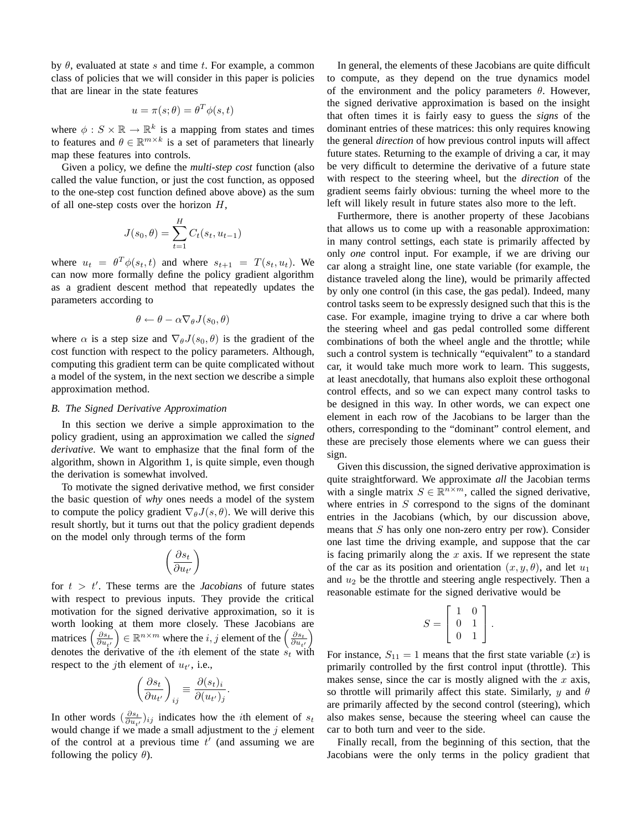by  $\theta$ , evaluated at state s and time t. For example, a common class of policies that we will consider in this paper is policies that are linear in the state features

$$
u = \pi(s; \theta) = \theta^T \phi(s, t)
$$

where  $\phi : S \times \mathbb{R} \to \mathbb{R}^k$  is a mapping from states and times to features and  $\theta \in \mathbb{R}^{m \times k}$  is a set of parameters that linearly map these features into controls.

Given a policy, we define the *multi-step cost* function (also called the value function, or just the cost function, as opposed to the one-step cost function defined above above) as the sum of all one-step costs over the horizon  $H$ ,

$$
J(s_0, \theta) = \sum_{t=1}^{H} C_t(s_t, u_{t-1})
$$

where  $u_t = \theta^T \phi(s_t, t)$  and where  $s_{t+1} = T(s_t, u_t)$ . We can now more formally define the policy gradient algorithm as a gradient descent method that repeatedly updates the parameters according to

$$
\theta \leftarrow \theta - \alpha \nabla_{\theta} J(s_0, \theta)
$$

where  $\alpha$  is a step size and  $\nabla_{\theta}J(s_0, \theta)$  is the gradient of the cost function with respect to the policy parameters. Although, computing this gradient term can be quite complicated without a model of the system, in the next section we describe a simple approximation method.

# *B. The Signed Derivative Approximation*

In this section we derive a simple approximation to the policy gradient, using an approximation we called the *signed derivative*. We want to emphasize that the final form of the algorithm, shown in Algorithm 1, is quite simple, even though the derivation is somewhat involved.

To motivate the signed derivative method, we first consider the basic question of *why* ones needs a model of the system to compute the policy gradient  $\nabla_{\theta} J(s, \theta)$ . We will derive this result shortly, but it turns out that the policy gradient depends on the model only through terms of the form

$$
\left(\frac{\partial s_t}{\partial u_{t'}}\right)
$$

for  $t > t'$ . These terms are the *Jacobians* of future states with respect to previous inputs. They provide the critical motivation for the signed derivative approximation, so it is worth looking at them more closely. These Jacobians are matrices  $\left(\frac{\partial s_t}{\partial u_{t'}}\right) \in \mathbb{R}^{n \times m}$  where the *i*, *j* element of the  $\left(\frac{\partial s_t}{\partial u_{t'}}\right)$ denotes the derivative of the *i*th element of the state  $\dot{s_t}$  with respect to the *j*th element of  $u_{t'}$ , i.e.,

$$
\left(\frac{\partial s_t}{\partial u_{t'}}\right)_{ij} \equiv \frac{\partial (s_t)_i}{\partial (u_{t'})_j}.
$$

In other words  $\left(\frac{\partial s_t}{\partial u_{t'}}\right)_{ij}$  indicates how the *i*th element of  $s_t$ would change if we made a small adjustment to the  $j$  element of the control at a previous time  $t'$  (and assuming we are following the policy  $\theta$ ).

In general, the elements of these Jacobians are quite difficult to compute, as they depend on the true dynamics model of the environment and the policy parameters  $\theta$ . However, the signed derivative approximation is based on the insight that often times it is fairly easy to guess the *signs* of the dominant entries of these matrices: this only requires knowing the general *direction* of how previous control inputs will affect future states. Returning to the example of driving a car, it may be very difficult to determine the derivative of a future state with respect to the steering wheel, but the *direction* of the gradient seems fairly obvious: turning the wheel more to the left will likely result in future states also more to the left.

Furthermore, there is another property of these Jacobians that allows us to come up with a reasonable approximation: in many control settings, each state is primarily affected by only *one* control input. For example, if we are driving our car along a straight line, one state variable (for example, the distance traveled along the line), would be primarily affected by only one control (in this case, the gas pedal). Indeed, many control tasks seem to be expressly designed such that this is the case. For example, imagine trying to drive a car where both the steering wheel and gas pedal controlled some different combinations of both the wheel angle and the throttle; while such a control system is technically "equivalent" to a standard car, it would take much more work to learn. This suggests, at least anecdotally, that humans also exploit these orthogonal control effects, and so we can expect many control tasks to be designed in this way. In other words, we can expect one element in each row of the Jacobians to be larger than the others, corresponding to the "dominant" control element, and these are precisely those elements where we can guess their sign.

Given this discussion, the signed derivative approximation is quite straightforward. We approximate *all* the Jacobian terms with a single matrix  $S \in \mathbb{R}^{n \times m}$ , called the signed derivative, where entries in  $S$  correspond to the signs of the dominant entries in the Jacobians (which, by our discussion above, means that  $S$  has only one non-zero entry per row). Consider one last time the driving example, and suppose that the car is facing primarily along the  $x$  axis. If we represent the state of the car as its position and orientation  $(x, y, \theta)$ , and let  $u_1$ and  $u_2$  be the throttle and steering angle respectively. Then a reasonable estimate for the signed derivative would be

$$
S = \left[ \begin{array}{cc} 1 & 0 \\ 0 & 1 \\ 0 & 1 \end{array} \right].
$$

For instance,  $S_{11} = 1$  means that the first state variable  $(x)$  is primarily controlled by the first control input (throttle). This makes sense, since the car is mostly aligned with the  $x$  axis, so throttle will primarily affect this state. Similarly, y and  $\theta$ are primarily affected by the second control (steering), which also makes sense, because the steering wheel can cause the car to both turn and veer to the side.

Finally recall, from the beginning of this section, that the Jacobians were the only terms in the policy gradient that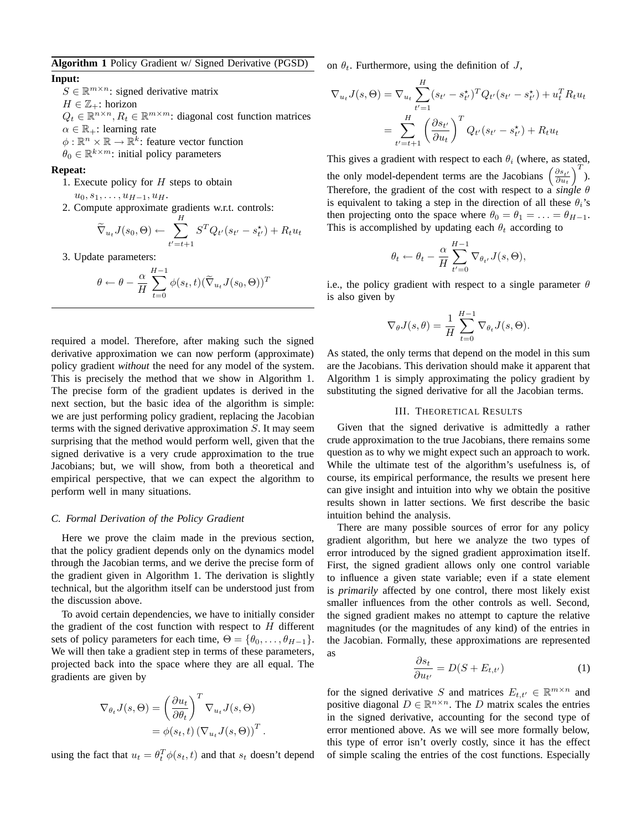## **Algorithm 1** Policy Gradient w/ Signed Derivative (PGSD)

# **Input:**

 $S \in \mathbb{R}^{m \times n}$ : signed derivative matrix  $H \in \mathbb{Z}_+$ : horizon  $Q_t \in \mathbb{R}^{n \times n}, R_t \in \mathbb{R}^{m \times m}$ : diagonal cost function matrices  $\alpha \in \mathbb{R}_+$ : learning rate  $\phi: \mathbb{R}^n \times \mathbb{R} \to \mathbb{R}^k$ : feature vector function

 $\hat{\theta}_0 \in \mathbb{R}^{k \times m}$ : initial policy parameters

### **Repeat:**

1. Execute policy for  $H$  steps to obtain

 $u_0, s_1, \ldots, u_{H-1}, u_H.$ 

2. Compute approximate gradients w.r.t. controls:

$$
\widetilde{\nabla}_{u_t} J(s_0, \Theta) \leftarrow \sum_{t'=t+1}^H S^T Q_{t'}(s_{t'} - s_{t'}^{\star}) + R_t u_t
$$

3. Update parameters:

$$
\theta \leftarrow \theta - \frac{\alpha}{H} \sum_{t=0}^{H-1} \phi(s_t, t) (\widetilde{\nabla}_{u_t} J(s_0, \Theta))^T
$$

required a model. Therefore, after making such the signed derivative approximation we can now perform (approximate) policy gradient *without* the need for any model of the system. This is precisely the method that we show in Algorithm 1. The precise form of the gradient updates is derived in the next section, but the basic idea of the algorithm is simple: we are just performing policy gradient, replacing the Jacobian terms with the signed derivative approximation S. It may seem surprising that the method would perform well, given that the signed derivative is a very crude approximation to the true Jacobians; but, we will show, from both a theoretical and empirical perspective, that we can expect the algorithm to perform well in many situations.

#### *C. Formal Derivation of the Policy Gradient*

Here we prove the claim made in the previous section, that the policy gradient depends only on the dynamics model through the Jacobian terms, and we derive the precise form of the gradient given in Algorithm 1. The derivation is slightly technical, but the algorithm itself can be understood just from the discussion above.

To avoid certain dependencies, we have to initially consider the gradient of the cost function with respect to  $H$  different sets of policy parameters for each time,  $\Theta = {\theta_0, \dots, \theta_{H-1}}$ . We will then take a gradient step in terms of these parameters, projected back into the space where they are all equal. The gradients are given by

$$
\nabla_{\theta_t} J(s, \Theta) = \left(\frac{\partial u_t}{\partial \theta_t}\right)^T \nabla_{u_t} J(s, \Theta)
$$
  
=  $\phi(s_t, t) (\nabla_{u_t} J(s, \Theta))^T$ .

using the fact that  $u_t = \theta_t^T \phi(s_t, t)$  and that  $s_t$  doesn't depend

on  $\theta_t$ . Furthermore, using the definition of J,

$$
\nabla_{u_t} J(s, \Theta) = \nabla_{u_t} \sum_{t'=1}^{H} (s_{t'} - s_{t'}^{\star})^T Q_{t'} (s_{t'} - s_{t'}^{\star}) + u_t^T R_t u_t
$$

$$
= \sum_{t'=t+1}^{H} \left( \frac{\partial s_{t'}}{\partial u_t} \right)^T Q_{t'} (s_{t'} - s_{t'}^{\star}) + R_t u_t
$$

This gives a gradient with respect to each  $\theta_i$  (where, as stated, the only model-dependent terms are the Jacobians  $\left(\frac{\partial s_{t'}}{\partial u_t}\right)$  $\Big)^T$ ). Therefore, the gradient of the cost with respect to a *single* θ is equivalent to taking a step in the direction of all these  $\theta_i$ 's then projecting onto the space where  $\theta_0 = \theta_1 = \ldots = \theta_{H-1}$ . This is accomplished by updating each  $\theta_t$  according to

$$
\theta_t \leftarrow \theta_t - \frac{\alpha}{H} \sum_{t'=0}^{H-1} \nabla_{\theta_{t'}} J(s, \Theta),
$$

i.e., the policy gradient with respect to a single parameter  $\theta$ is also given by

$$
\nabla_{\theta} J(s, \theta) = \frac{1}{H} \sum_{t=0}^{H-1} \nabla_{\theta_t} J(s, \Theta).
$$

As stated, the only terms that depend on the model in this sum are the Jacobians. This derivation should make it apparent that Algorithm 1 is simply approximating the policy gradient by substituting the signed derivative for all the Jacobian terms.

# III. THEORETICAL RESULTS

Given that the signed derivative is admittedly a rather crude approximation to the true Jacobians, there remains some question as to why we might expect such an approach to work. While the ultimate test of the algorithm's usefulness is, of course, its empirical performance, the results we present here can give insight and intuition into why we obtain the positive results shown in latter sections. We first describe the basic intuition behind the analysis.

There are many possible sources of error for any policy gradient algorithm, but here we analyze the two types of error introduced by the signed gradient approximation itself. First, the signed gradient allows only one control variable to influence a given state variable; even if a state element is *primarily* affected by one control, there most likely exist smaller influences from the other controls as well. Second, the signed gradient makes no attempt to capture the relative magnitudes (or the magnitudes of any kind) of the entries in the Jacobian. Formally, these approximations are represented as

$$
\frac{\partial s_t}{\partial u_{t'}} = D(S + E_{t,t'}) \tag{1}
$$

for the signed derivative S and matrices  $E_{t,t'} \in \mathbb{R}^{m \times n}$  and positive diagonal  $D \in \mathbb{R}^{n \times n}$ . The D matrix scales the entries in the signed derivative, accounting for the second type of error mentioned above. As we will see more formally below, this type of error isn't overly costly, since it has the effect of simple scaling the entries of the cost functions. Especially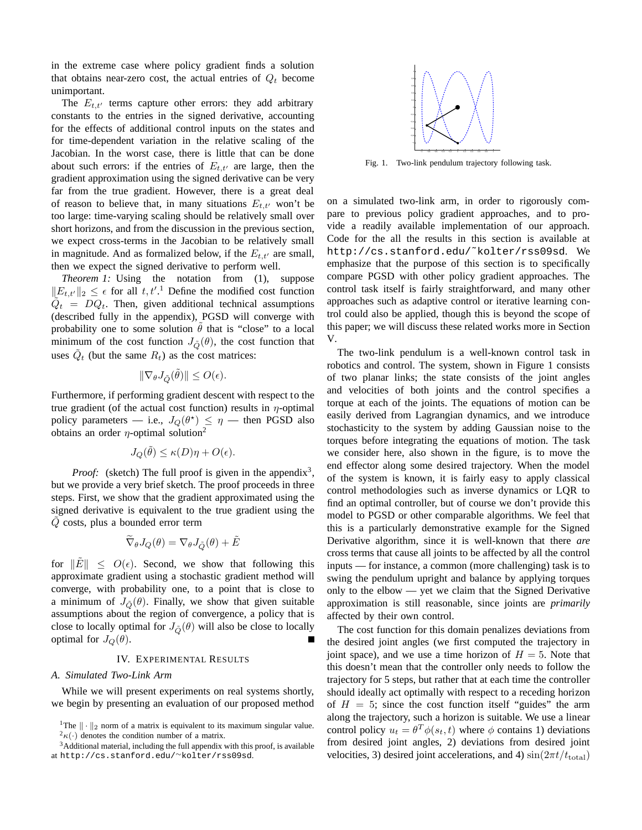in the extreme case where policy gradient finds a solution that obtains near-zero cost, the actual entries of  $Q_t$  become unimportant.

The  $E_{t,t'}$  terms capture other errors: they add arbitrary constants to the entries in the signed derivative, accounting for the effects of additional control inputs on the states and for time-dependent variation in the relative scaling of the Jacobian. In the worst case, there is little that can be done about such errors: if the entries of  $E_{t,t'}$  are large, then the gradient approximation using the signed derivative can be very far from the true gradient. However, there is a great deal of reason to believe that, in many situations  $E_{t,t'}$  won't be too large: time-varying scaling should be relatively small over short horizons, and from the discussion in the previous section, we expect cross-terms in the Jacobian to be relatively small in magnitude. And as formalized below, if the  $E_{t,t'}$  are small, then we expect the signed derivative to perform well.

*Theorem 1:* Using the notation from (1), suppose  $||E_{t,t'}||_2 \leq \epsilon$  for all  $t, t'.^1$  Define the modified cost function  $\tilde{Q}_t = DQ_t$ . Then, given additional technical assumptions (described fully in the appendix), PGSD will converge with probability one to some solution  $\theta$  that is "close" to a local minimum of the cost function  $J_{\tilde{O}}(\theta)$ , the cost function that uses  $\tilde{Q}_t$  (but the same  $R_t$ ) as the cost matrices:

$$
\|\nabla_\theta J_{\tilde{Q}}(\tilde{\theta})\| \leq O(\epsilon).
$$

Furthermore, if performing gradient descent with respect to the true gradient (of the actual cost function) results in  $\eta$ -optimal policy parameters — i.e.,  $J_Q(\theta^*) \leq \eta$  — then PGSD also obtains an order  $\eta$ -optimal solution<sup>2</sup>

$$
J_Q(\tilde{\theta}) \le \kappa(D)\eta + O(\epsilon).
$$

*Proof:* (sketch) The full proof is given in the appendix<sup>3</sup>, but we provide a very brief sketch. The proof proceeds in three steps. First, we show that the gradient approximated using the signed derivative is equivalent to the true gradient using the  $Q$  costs, plus a bounded error term

$$
\widetilde{\nabla}_{\theta} J_Q(\theta) = \nabla_{\theta} J_{\tilde{Q}}(\theta) + \tilde{E}
$$

for  $\|\tilde{E}\| \leq O(\epsilon)$ . Second, we show that following this approximate gradient using a stochastic gradient method will converge, with probability one, to a point that is close to a minimum of  $J_{\tilde{Q}}(\theta)$ . Finally, we show that given suitable assumptions about the region of convergence, a policy that is close to locally optimal for  $J_{\tilde{Q}}(\theta)$  will also be close to locally optimal for  $J_Q(\theta)$ .

# IV. EXPERIMENTAL RESULTS

# *A. Simulated Two-Link Arm*

While we will present experiments on real systems shortly, we begin by presenting an evaluation of our proposed method



Fig. 1. Two-link pendulum trajectory following task.

on a simulated two-link arm, in order to rigorously compare to previous policy gradient approaches, and to provide a readily available implementation of our approach. Code for the all the results in this section is available at http://cs.stanford.edu/˜kolter/rss09sd. We emphasize that the purpose of this section is to specifically compare PGSD with other policy gradient approaches. The control task itself is fairly straightforward, and many other approaches such as adaptive control or iterative learning control could also be applied, though this is beyond the scope of this paper; we will discuss these related works more in Section V.

The two-link pendulum is a well-known control task in robotics and control. The system, shown in Figure 1 consists of two planar links; the state consists of the joint angles and velocities of both joints and the control specifies a torque at each of the joints. The equations of motion can be easily derived from Lagrangian dynamics, and we introduce stochasticity to the system by adding Gaussian noise to the torques before integrating the equations of motion. The task we consider here, also shown in the figure, is to move the end effector along some desired trajectory. When the model of the system is known, it is fairly easy to apply classical control methodologies such as inverse dynamics or LQR to find an optimal controller, but of course we don't provide this model to PGSD or other comparable algorithms. We feel that this is a particularly demonstrative example for the Signed Derivative algorithm, since it is well-known that there *are* cross terms that cause all joints to be affected by all the control inputs — for instance, a common (more challenging) task is to swing the pendulum upright and balance by applying torques only to the elbow — yet we claim that the Signed Derivative approximation is still reasonable, since joints are *primarily* affected by their own control.

The cost function for this domain penalizes deviations from the desired joint angles (we first computed the trajectory in joint space), and we use a time horizon of  $H = 5$ . Note that this doesn't mean that the controller only needs to follow the trajectory for 5 steps, but rather that at each time the controller should ideally act optimally with respect to a receding horizon of  $H = 5$ ; since the cost function itself "guides" the arm along the trajectory, such a horizon is suitable. We use a linear control policy  $u_t = \theta^T \phi(s_t, t)$  where  $\phi$  contains 1) deviations from desired joint angles, 2) deviations from desired joint velocities, 3) desired joint accelerations, and 4)  $\sin(2\pi t/t_{\text{total}})$ 

<sup>&</sup>lt;sup>1</sup>The  $\|\cdot\|_2$  norm of a matrix is equivalent to its maximum singular value.  $^{2}\kappa(\cdot)$  denotes the condition number of a matrix.

<sup>&</sup>lt;sup>3</sup>Additional material, including the full appendix with this proof, is available at http://cs.stanford.edu/∼kolter/rss09sd.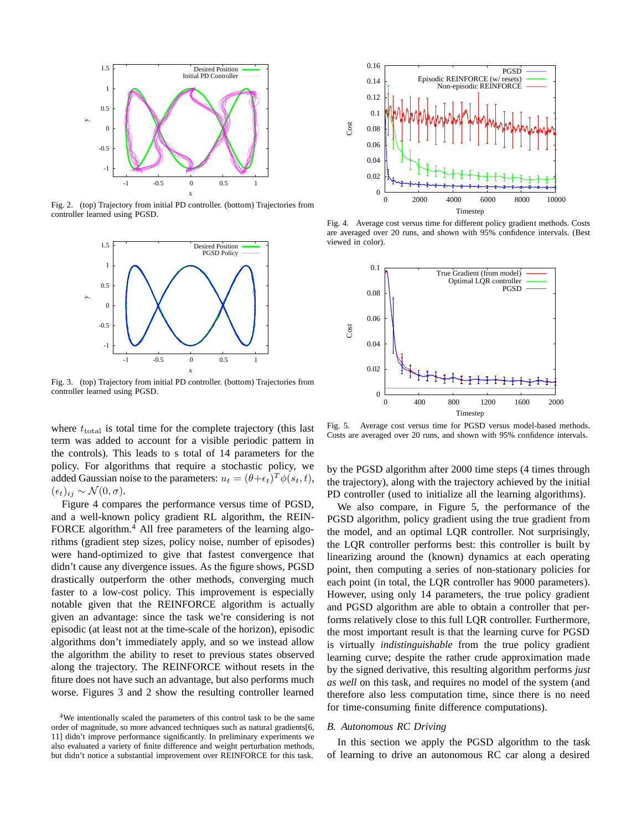

Fig. 2. (top) Trajectory from initial PD controller. (bottom) Trajectories from controller learned using PGSD.



Fig. 3. (top) Trajectory from initial PD controller. (bottom) Trajectories from controller learned using PGSD.

where  $t_{\text{total}}$  is total time for the complete trajectory (this last term was added to account for a visible periodic pattern in the controls). This leads to s total of 14 parameters for the policy. For algorithms that require a stochastic policy, we added Gaussian noise to the parameters:  $u_t = (\theta + \epsilon_t)^T \phi(s_t, t)$ ,  $(\epsilon_t)_{ij} \sim \mathcal{N}(0, \sigma)$ .

Figure 4 compares the performance versus time of PGSD, and a well-known policy gradient RL algorithm, the REIN-FORCE algorithm.<sup>4</sup> All free parameters of the learning algorithms (gradient step sizes, policy noise, number of episodes) were hand-optimized to give that fastest convergence that didn't cause any divergence issues. As the figure shows, PGSD drastically outperform the other methods, converging much faster to a low-cost policy. This improvement is especially notable given that the REINFORCE algorithm is actually given an advantage: since the task we're considering is not episodic (at least not at the time-scale of the horizon), episodic algorithms don't immediately apply, and so we instead allow the algorithm the ability to reset to previous states observed along the trajectory. The REINFORCE without resets in the fiture does not have such an advantage, but also performs much worse. Figures 3 and 2 show the resulting controller learned



Fig. 4. Average cost versus time for different policy gradient methods. Costs are averaged over 20 runs, and shown with 95% confidence intervals. (Best viewed in color).



Fig. 5. Average cost versus time for PGSD versus model-based methods. Costs are averaged over 20 runs, and shown with 95% confidence intervals.

by the PGSD algorithm after 2000 time steps (4 times through the trajectory), along with the trajectory achieved by the initial PD controller (used to initialize all the learning algorithms).

We also compare, in Figure 5, the performance of the PGSD algorithm, policy gradient using the true gradient from the model, and an optimal LQR controller. Not surprisingly, the LQR controller performs best: this controller is built by linearizing around the (known) dynamics at each operating point, then computing a series of non-stationary policies for each point (in total, the LQR controller has 9000 parameters). However, using only 14 parameters, the true policy gradient and PGSD algorithm are able to obtain a controller that performs relatively close to this full LQR controller. Furthermore, the most important result is that the learning curve for PGSD is virtually *indistinguishable* from the true policy gradient learning curve; despite the rather crude approximation made by the signed derivative, this resulting algorithm performs *just as well* on this task, and requires no model of the system (and therefore also less computation time, since there is no need for time-consuming finite difference computations).

#### *B. Autonomous RC Driving*

In this section we apply the PGSD algorithm to the task of learning to drive an autonomous RC car along a desired

<sup>&</sup>lt;sup>4</sup>We intentionally scaled the parameters of this control task to be the same order of magnitude, so more advanced techniques such as natural gradients[6, 11] didn't improve performance significantly. In preliminary experiments we also evaluated a variety of finite difference and weight perturbation methods, but didn't notice a substantial improvement over REINFORCE for this task.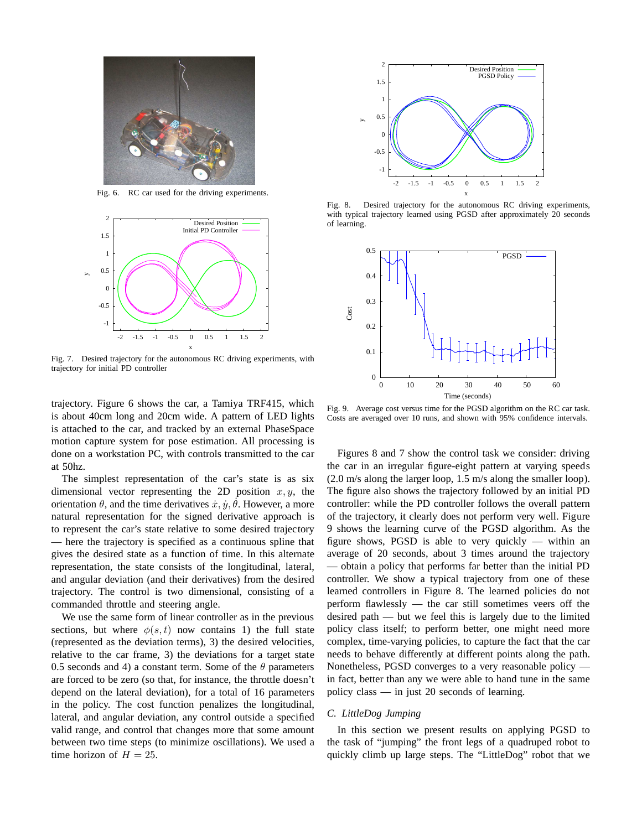

Fig. 6. RC car used for the driving experiments.



Fig. 7. Desired trajectory for the autonomous RC driving experiments, with trajectory for initial PD controller

trajectory. Figure 6 shows the car, a Tamiya TRF415, which is about 40cm long and 20cm wide. A pattern of LED lights is attached to the car, and tracked by an external PhaseSpace motion capture system for pose estimation. All processing is done on a workstation PC, with controls transmitted to the car at 50hz.

The simplest representation of the car's state is as six dimensional vector representing the 2D position  $x, y$ , the orientation  $\theta$ , and the time derivatives  $\dot{x}, \dot{y}, \dot{\theta}$ . However, a more natural representation for the signed derivative approach is to represent the car's state relative to some desired trajectory — here the trajectory is specified as a continuous spline that gives the desired state as a function of time. In this alternate representation, the state consists of the longitudinal, lateral, and angular deviation (and their derivatives) from the desired trajectory. The control is two dimensional, consisting of a commanded throttle and steering angle.

We use the same form of linear controller as in the previous sections, but where  $\phi(s, t)$  now contains 1) the full state (represented as the deviation terms), 3) the desired velocities, relative to the car frame, 3) the deviations for a target state 0.5 seconds and 4) a constant term. Some of the  $\theta$  parameters are forced to be zero (so that, for instance, the throttle doesn't depend on the lateral deviation), for a total of 16 parameters in the policy. The cost function penalizes the longitudinal, lateral, and angular deviation, any control outside a specified valid range, and control that changes more that some amount between two time steps (to minimize oscillations). We used a time horizon of  $H = 25$ .



Fig. 8. Desired trajectory for the autonomous RC driving experiments, with typical trajectory learned using PGSD after approximately 20 seconds of learning.



Fig. 9. Average cost versus time for the PGSD algorithm on the RC car task. Costs are averaged over 10 runs, and shown with 95% confidence intervals.

Figures 8 and 7 show the control task we consider: driving the car in an irregular figure-eight pattern at varying speeds (2.0 m/s along the larger loop, 1.5 m/s along the smaller loop). The figure also shows the trajectory followed by an initial PD controller: while the PD controller follows the overall pattern of the trajectory, it clearly does not perform very well. Figure 9 shows the learning curve of the PGSD algorithm. As the figure shows, PGSD is able to very quickly — within an average of 20 seconds, about 3 times around the trajectory — obtain a policy that performs far better than the initial PD controller. We show a typical trajectory from one of these learned controllers in Figure 8. The learned policies do not perform flawlessly — the car still sometimes veers off the desired path — but we feel this is largely due to the limited policy class itself; to perform better, one might need more complex, time-varying policies, to capture the fact that the car needs to behave differently at different points along the path. Nonetheless, PGSD converges to a very reasonable policy in fact, better than any we were able to hand tune in the same policy class — in just 20 seconds of learning.

# *C. LittleDog Jumping*

In this section we present results on applying PGSD to the task of "jumping" the front legs of a quadruped robot to quickly climb up large steps. The "LittleDog" robot that we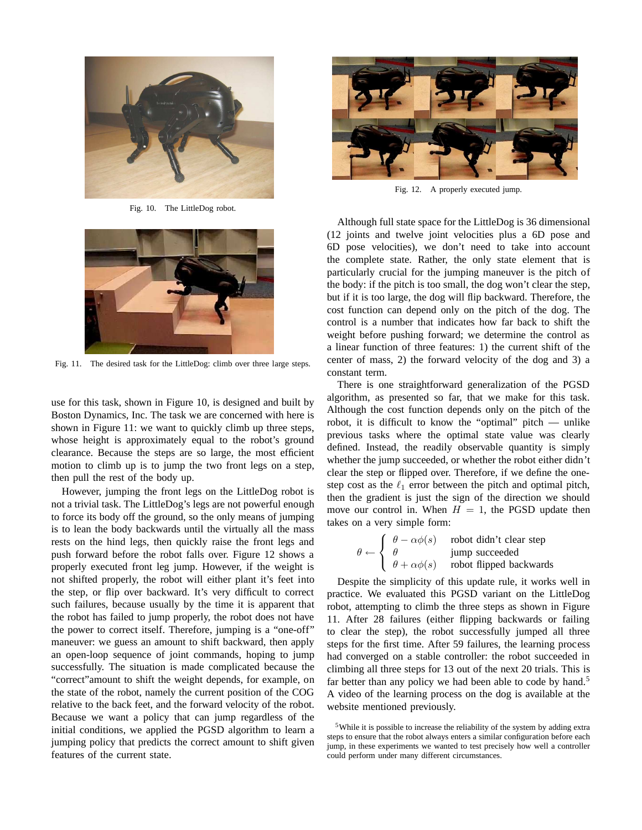

Fig. 10. The LittleDog robot.



Fig. 11. The desired task for the LittleDog: climb over three large steps.

use for this task, shown in Figure 10, is designed and built by Boston Dynamics, Inc. The task we are concerned with here is shown in Figure 11: we want to quickly climb up three steps, whose height is approximately equal to the robot's ground clearance. Because the steps are so large, the most efficient motion to climb up is to jump the two front legs on a step, then pull the rest of the body up.

However, jumping the front legs on the LittleDog robot is not a trivial task. The LittleDog's legs are not powerful enough to force its body off the ground, so the only means of jumping is to lean the body backwards until the virtually all the mass rests on the hind legs, then quickly raise the front legs and push forward before the robot falls over. Figure 12 shows a properly executed front leg jump. However, if the weight is not shifted properly, the robot will either plant it's feet into the step, or flip over backward. It's very difficult to correct such failures, because usually by the time it is apparent that the robot has failed to jump properly, the robot does not have the power to correct itself. Therefore, jumping is a "one-off" maneuver: we guess an amount to shift backward, then apply an open-loop sequence of joint commands, hoping to jump successfully. The situation is made complicated because the "correct"amount to shift the weight depends, for example, on the state of the robot, namely the current position of the COG relative to the back feet, and the forward velocity of the robot. Because we want a policy that can jump regardless of the initial conditions, we applied the PGSD algorithm to learn a jumping policy that predicts the correct amount to shift given features of the current state.



Fig. 12. A properly executed jump.

Although full state space for the LittleDog is 36 dimensional (12 joints and twelve joint velocities plus a 6D pose and 6D pose velocities), we don't need to take into account the complete state. Rather, the only state element that is particularly crucial for the jumping maneuver is the pitch of the body: if the pitch is too small, the dog won't clear the step, but if it is too large, the dog will flip backward. Therefore, the cost function can depend only on the pitch of the dog. The control is a number that indicates how far back to shift the weight before pushing forward; we determine the control as a linear function of three features: 1) the current shift of the center of mass, 2) the forward velocity of the dog and 3) a constant term.

There is one straightforward generalization of the PGSD algorithm, as presented so far, that we make for this task. Although the cost function depends only on the pitch of the robot, it is difficult to know the "optimal" pitch — unlike previous tasks where the optimal state value was clearly defined. Instead, the readily observable quantity is simply whether the jump succeeded, or whether the robot either didn't clear the step or flipped over. Therefore, if we define the onestep cost as the  $\ell_1$  error between the pitch and optimal pitch, then the gradient is just the sign of the direction we should move our control in. When  $H = 1$ , the PGSD update then takes on a very simple form:

$$
\theta \leftarrow \begin{cases} \theta - \alpha \phi(s) & \text{robot didn't clear step} \\ \theta & \text{jump succeeded} \\ \theta + \alpha \phi(s) & \text{robot flipped backwards} \end{cases}
$$

Despite the simplicity of this update rule, it works well in practice. We evaluated this PGSD variant on the LittleDog robot, attempting to climb the three steps as shown in Figure 11. After 28 failures (either flipping backwards or failing to clear the step), the robot successfully jumped all three steps for the first time. After 59 failures, the learning process had converged on a stable controller: the robot succeeded in climbing all three steps for 13 out of the next 20 trials. This is far better than any policy we had been able to code by hand.<sup>5</sup> A video of the learning process on the dog is available at the website mentioned previously.

<sup>&</sup>lt;sup>5</sup>While it is possible to increase the reliability of the system by adding extra steps to ensure that the robot always enters a similar configuration before each jump, in these experiments we wanted to test precisely how well a controller could perform under many different circumstances.